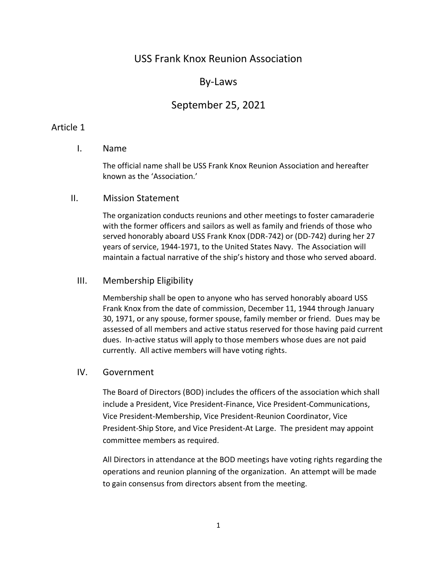# USS Frank Knox Reunion Association

# By-Laws

# September 25, 2021

# Article 1

# I. Name

The official name shall be USS Frank Knox Reunion Association and hereafter known as the 'Association.'

### II. Mission Statement

The organization conducts reunions and other meetings to foster camaraderie with the former officers and sailors as well as family and friends of those who served honorably aboard USS Frank Knox (DDR-742) or (DD-742) during her 27 years of service, 1944-1971, to the United States Navy. The Association will maintain a factual narrative of the ship's history and those who served aboard.

## III. Membership Eligibility

Membership shall be open to anyone who has served honorably aboard USS Frank Knox from the date of commission, December 11, 1944 through January 30, 1971, or any spouse, former spouse, family member or friend. Dues may be assessed of all members and active status reserved for those having paid current dues. In-active status will apply to those members whose dues are not paid currently. All active members will have voting rights.

# IV. Government

The Board of Directors (BOD) includes the officers of the association which shall include a President, Vice President-Finance, Vice President-Communications, Vice President-Membership, Vice President-Reunion Coordinator, Vice President-Ship Store, and Vice President-At Large. The president may appoint committee members as required.

All Directors in attendance at the BOD meetings have voting rights regarding the operations and reunion planning of the organization. An attempt will be made to gain consensus from directors absent from the meeting.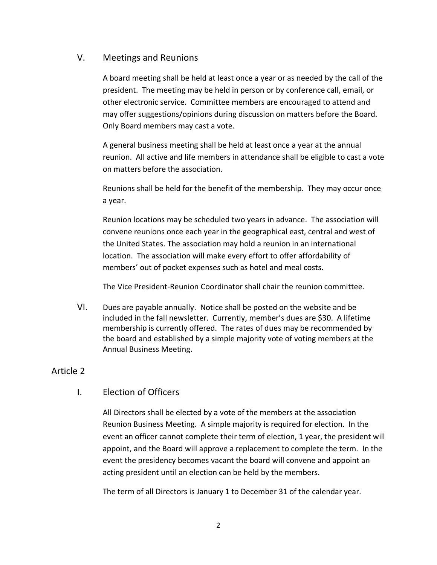# V. Meetings and Reunions

A board meeting shall be held at least once a year or as needed by the call of the president. The meeting may be held in person or by conference call, email, or other electronic service. Committee members are encouraged to attend and may offer suggestions/opinions during discussion on matters before the Board. Only Board members may cast a vote.

A general business meeting shall be held at least once a year at the annual reunion. All active and life members in attendance shall be eligible to cast a vote on matters before the association.

Reunions shall be held for the benefit of the membership. They may occur once a year.

Reunion locations may be scheduled two years in advance. The association will convene reunions once each year in the geographical east, central and west of the United States. The association may hold a reunion in an international location. The association will make every effort to offer affordability of members' out of pocket expenses such as hotel and meal costs.

The Vice President-Reunion Coordinator shall chair the reunion committee.

VI. Dues are payable annually. Notice shall be posted on the website and be included in the fall newsletter. Currently, member's dues are \$30. A lifetime membership is currently offered. The rates of dues may be recommended by the board and established by a simple majority vote of voting members at the Annual Business Meeting.

# Article 2

# I. Election of Officers

All Directors shall be elected by a vote of the members at the association Reunion Business Meeting. A simple majority is required for election. In the event an officer cannot complete their term of election, 1 year, the president will appoint, and the Board will approve a replacement to complete the term. In the event the presidency becomes vacant the board will convene and appoint an acting president until an election can be held by the members.

The term of all Directors is January 1 to December 31 of the calendar year.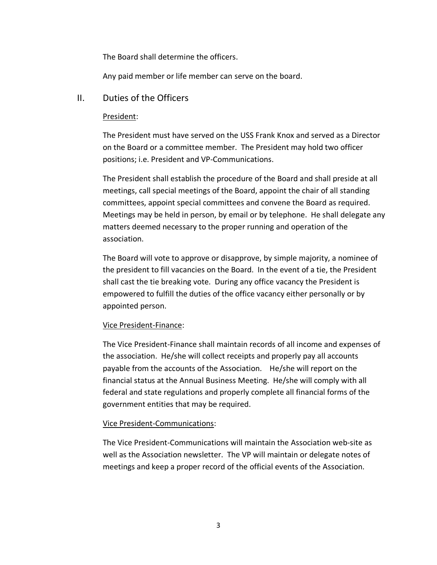The Board shall determine the officers.

Any paid member or life member can serve on the board.

# II. Duties of the Officers

## President:

The President must have served on the USS Frank Knox and served as a Director on the Board or a committee member. The President may hold two officer positions; i.e. President and VP-Communications.

The President shall establish the procedure of the Board and shall preside at all meetings, call special meetings of the Board, appoint the chair of all standing committees, appoint special committees and convene the Board as required. Meetings may be held in person, by email or by telephone. He shall delegate any matters deemed necessary to the proper running and operation of the association.

The Board will vote to approve or disapprove, by simple majority, a nominee of the president to fill vacancies on the Board. In the event of a tie, the President shall cast the tie breaking vote. During any office vacancy the President is empowered to fulfill the duties of the office vacancy either personally or by appointed person.

# Vice President-Finance:

The Vice President-Finance shall maintain records of all income and expenses of the association. He/she will collect receipts and properly pay all accounts payable from the accounts of the Association. He/she will report on the financial status at the Annual Business Meeting. He/she will comply with all federal and state regulations and properly complete all financial forms of the government entities that may be required.

#### Vice President-Communications:

The Vice President-Communications will maintain the Association web-site as well as the Association newsletter. The VP will maintain or delegate notes of meetings and keep a proper record of the official events of the Association.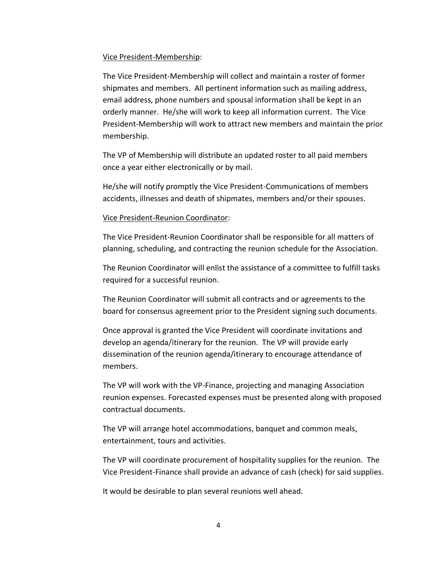#### Vice President-Membership:

The Vice President-Membership will collect and maintain a roster of former shipmates and members. All pertinent information such as mailing address, email address, phone numbers and spousal information shall be kept in an orderly manner. He/she will work to keep all information current. The Vice President-Membership will work to attract new members and maintain the prior membership.

The VP of Membership will distribute an updated roster to all paid members once a year either electronically or by mail.

He/she will notify promptly the Vice President-Communications of members accidents, illnesses and death of shipmates, members and/or their spouses.

#### Vice President-Reunion Coordinator:

The Vice President-Reunion Coordinator shall be responsible for all matters of planning, scheduling, and contracting the reunion schedule for the Association.

The Reunion Coordinator will enlist the assistance of a committee to fulfill tasks required for a successful reunion.

The Reunion Coordinator will submit all contracts and or agreements to the board for consensus agreement prior to the President signing such documents.

Once approval is granted the Vice President will coordinate invitations and develop an agenda/itinerary for the reunion. The VP will provide early dissemination of the reunion agenda/itinerary to encourage attendance of members.

The VP will work with the VP-Finance, projecting and managing Association reunion expenses. Forecasted expenses must be presented along with proposed contractual documents.

The VP will arrange hotel accommodations, banquet and common meals, entertainment, tours and activities.

The VP will coordinate procurement of hospitality supplies for the reunion. The Vice President-Finance shall provide an advance of cash (check) for said supplies.

It would be desirable to plan several reunions well ahead.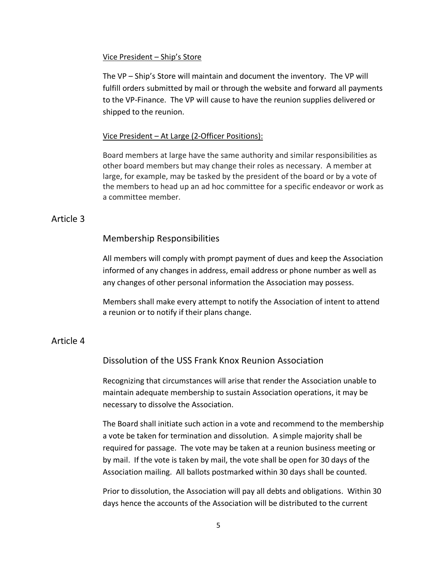#### Vice President – Ship's Store

The VP – Ship's Store will maintain and document the inventory. The VP will fulfill orders submitted by mail or through the website and forward all payments to the VP-Finance. The VP will cause to have the reunion supplies delivered or shipped to the reunion.

#### Vice President – At Large (2-Officer Positions):

Board members at large have the same authority and similar responsibilities as other board members but may change their roles as necessary. A member at large, for example, may be tasked by the president of the board or by a vote of the members to head up an ad hoc committee for a specific endeavor or work as a committee member.

### Article 3

### Membership Responsibilities

All members will comply with prompt payment of dues and keep the Association informed of any changes in address, email address or phone number as well as any changes of other personal information the Association may possess.

Members shall make every attempt to notify the Association of intent to attend a reunion or to notify if their plans change.

# Article 4

# Dissolution of the USS Frank Knox Reunion Association

Recognizing that circumstances will arise that render the Association unable to maintain adequate membership to sustain Association operations, it may be necessary to dissolve the Association.

The Board shall initiate such action in a vote and recommend to the membership a vote be taken for termination and dissolution. A simple majority shall be required for passage. The vote may be taken at a reunion business meeting or by mail. If the vote is taken by mail, the vote shall be open for 30 days of the Association mailing. All ballots postmarked within 30 days shall be counted.

Prior to dissolution, the Association will pay all debts and obligations. Within 30 days hence the accounts of the Association will be distributed to the current